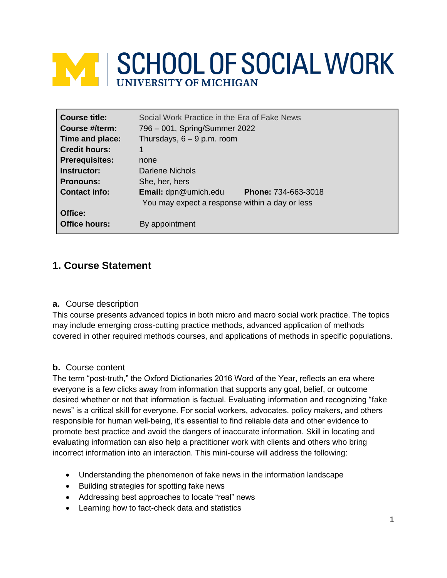# **EXT SCHOOL OF SOCIAL WORK**

| <b>Course title:</b><br>Course #/term: | Social Work Practice in the Era of Fake News<br>796 – 001, Spring/Summer 2022                        |  |
|----------------------------------------|------------------------------------------------------------------------------------------------------|--|
| Time and place:                        | Thursdays, $6 - 9$ p.m. room                                                                         |  |
| <b>Credit hours:</b>                   |                                                                                                      |  |
| <b>Prerequisites:</b>                  | none                                                                                                 |  |
| Instructor:                            | Darlene Nichols                                                                                      |  |
| <b>Pronouns:</b>                       | She, her, hers                                                                                       |  |
| <b>Contact info:</b>                   | <b>Email:</b> dpn@umich.edu<br>Phone: 734-663-3018<br>You may expect a response within a day or less |  |
| Office:<br><b>Office hours:</b>        | By appointment                                                                                       |  |

# **1. Course Statement**

#### **a.** Course description

This course presents advanced topics in both micro and macro social work practice. The topics may include emerging cross-cutting practice methods, advanced application of methods covered in other required methods courses, and applications of methods in specific populations.

#### **b.** Course content

The term "post-truth," the Oxford Dictionaries 2016 Word of the Year, reflects an era where everyone is a few clicks away from information that supports any goal, belief, or outcome desired whether or not that information is factual. Evaluating information and recognizing "fake news" is a critical skill for everyone. For social workers, advocates, policy makers, and others responsible for human well-being, it's essential to find reliable data and other evidence to promote best practice and avoid the dangers of inaccurate information. Skill in locating and evaluating information can also help a practitioner work with clients and others who bring incorrect information into an interaction. This mini-course will address the following:

- Understanding the phenomenon of fake news in the information landscape
- Building strategies for spotting fake news
- Addressing best approaches to locate "real" news
- Learning how to fact-check data and statistics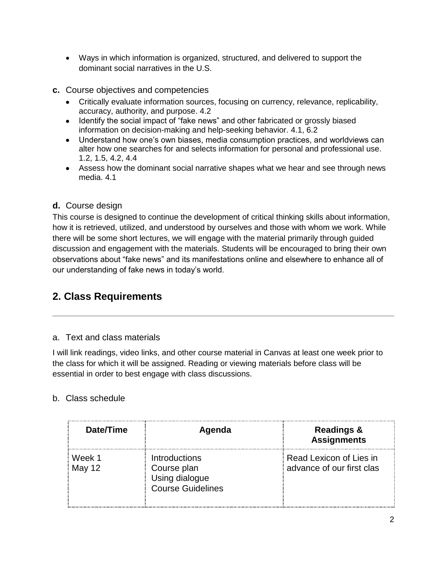- Ways in which information is organized, structured, and delivered to support the dominant social narratives in the U.S.
- **c.** Course objectives and competencies
	- Critically evaluate information sources, focusing on currency, relevance, replicability, accuracy, authority, and purpose. 4.2
	- Identify the social impact of "fake news" and other fabricated or grossly biased information on decision-making and help-seeking behavior. 4.1, 6.2
	- Understand how one's own biases, media consumption practices, and worldviews can alter how one searches for and selects information for personal and professional use. 1.2, 1.5, 4.2, 4.4
	- Assess how the dominant social narrative shapes what we hear and see through news media. 4.1

# **d.** Course design

This course is designed to continue the development of critical thinking skills about information, how it is retrieved, utilized, and understood by ourselves and those with whom we work. While there will be some short lectures, we will engage with the material primarily through guided discussion and engagement with the materials. Students will be encouraged to bring their own observations about "fake news" and its manifestations online and elsewhere to enhance all of our understanding of fake news in today's world.

# **2. Class Requirements**

# a. Text and class materials

I will link readings, video links, and other course material in Canvas at least one week prior to the class for which it will be assigned. Reading or viewing materials before class will be essential in order to best engage with class discussions.

# b. Class schedule

| Date/Time        | Agenda                                                                     | <b>Readings &amp;</b><br><b>Assignments</b>          |
|------------------|----------------------------------------------------------------------------|------------------------------------------------------|
| Week 1<br>May 12 | Introductions<br>Course plan<br>Using dialogue<br><b>Course Guidelines</b> | Read Lexicon of Lies in<br>advance of our first clas |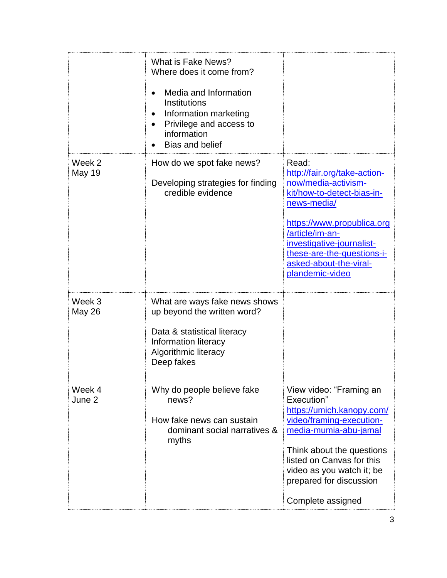|                         | What is Fake News?<br>Where does it come from?<br>Media and Information<br>Institutions<br>Information marketing<br>Privilege and access to<br>information<br><b>Bias and belief</b> |                                                                                                                                                                                                                                                                    |
|-------------------------|--------------------------------------------------------------------------------------------------------------------------------------------------------------------------------------|--------------------------------------------------------------------------------------------------------------------------------------------------------------------------------------------------------------------------------------------------------------------|
| Week 2<br><b>May 19</b> | How do we spot fake news?<br>Developing strategies for finding<br>credible evidence                                                                                                  | Read:<br>http://fair.org/take-action-<br>now/media-activism-<br>kit/how-to-detect-bias-in-<br>news-media/<br>https://www.propublica.org<br>/article/im-an-<br>investigative-journalist-<br>these-are-the-questions-i-<br>asked-about-the-viral-<br>plandemic-video |
| Week 3<br><b>May 26</b> | What are ways fake news shows<br>up beyond the written word?<br>Data & statistical literacy<br>Information literacy<br>Algorithmic literacy<br>Deep fakes                            |                                                                                                                                                                                                                                                                    |
| Week 4<br>June 2        | Why do people believe fake<br>news?<br>How fake news can sustain<br>dominant social narratives &<br>myths                                                                            | View video: "Framing an<br>Execution"<br>https://umich.kanopy.com/<br>video/framing-execution-<br>media-mumia-abu-jamal<br>Think about the questions<br>listed on Canvas for this<br>video as you watch it; be<br>prepared for discussion<br>Complete assigned     |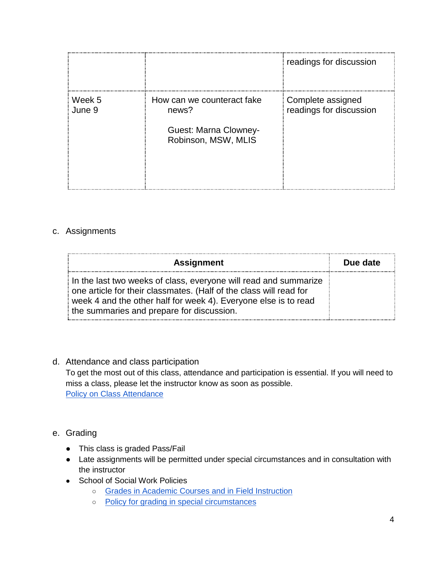|                  |                                                                                     | readings for discussion                      |
|------------------|-------------------------------------------------------------------------------------|----------------------------------------------|
| Week 5<br>June 9 | How can we counteract fake<br>news?<br>Guest: Marna Clowney-<br>Robinson, MSW, MLIS | Complete assigned<br>readings for discussion |

### c. Assignments

| <b>Assignment</b>                                                                                                                                                                                                                                      | Due date |
|--------------------------------------------------------------------------------------------------------------------------------------------------------------------------------------------------------------------------------------------------------|----------|
| In the last two weeks of class, everyone will read and summarize<br>one article for their classmates. (Half of the class will read for<br>week 4 and the other half for week 4). Everyone else is to read<br>the summaries and prepare for discussion. |          |

#### d. Attendance and class participation

To get the most out of this class, attendance and participation is essential. If you will need to miss a class, please let the instructor know as soon as possible. [Policy on Class Attendance](https://ssw.umich.edu/msw-student-guide/section/1.09.00/17/policy-on-class-attendance)

#### e. Grading

- This class is graded Pass/Fail
- Late assignments will be permitted under special circumstances and in consultation with the instructor
- School of Social Work Policies
	- [Grades in Academic Courses and in Field Instruction](http://ssw.umich.edu/msw-student-guide/chapter/1.08/grades-in-academic-courses-and-in-field-instruction)
	- [Policy for grading in special circumstances](https://ssw.umich.edu/msw-student-guide/section/1.08.01/15/grades-for-special-circumstances)